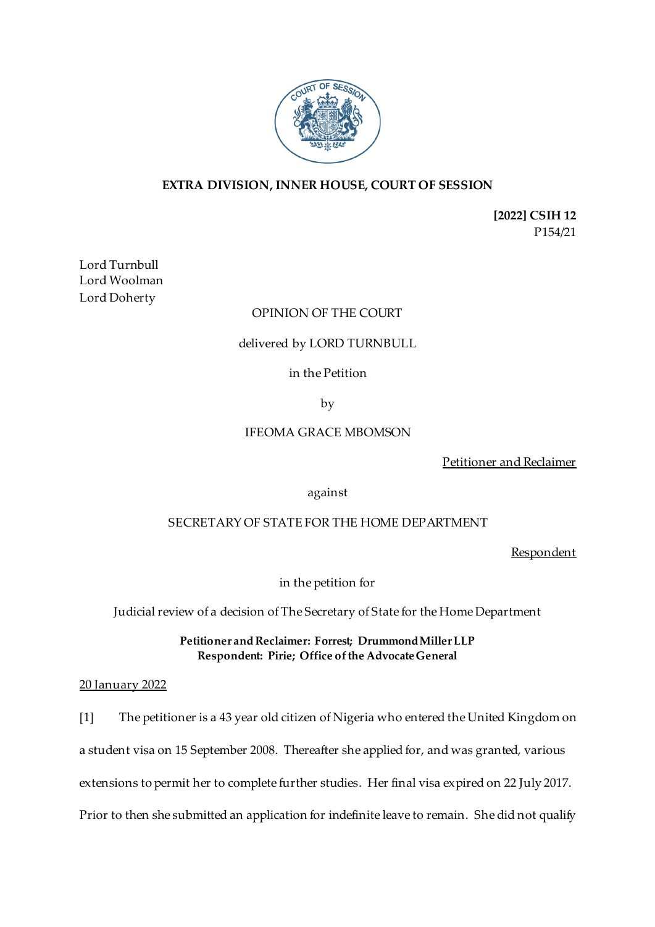

# **EXTRA DIVISION, INNER HOUSE, COURT OF SESSION**

**[2022] CSIH 12** P154/21

Lord Turnbull Lord Woolman Lord Doherty

## OPINION OF THE COURT

### delivered by LORD TURNBULL

in the Petition

by

### IFEOMA GRACE MBOMSON

Petitioner and Reclaimer

against

### SECRETARY OF STATE FOR THE HOME DEPARTMENT

Respondent

in the petition for

Judicial review of a decision of The Secretary of State for the Home Department

**Petitioner and Reclaimer: Forrest; Drummond Miller LLP Respondent: Pirie; Office of the Advocate General**

### 20 January 2022

[1] The petitioner is a 43 year old citizen of Nigeria who entered the United Kingdom on a student visa on 15 September 2008. Thereafter she applied for, and was granted, various extensions to permit her to complete further studies. Her final visa expired on 22 July 2017. Prior to then she submitted an application for indefinite leave to remain. She did not qualify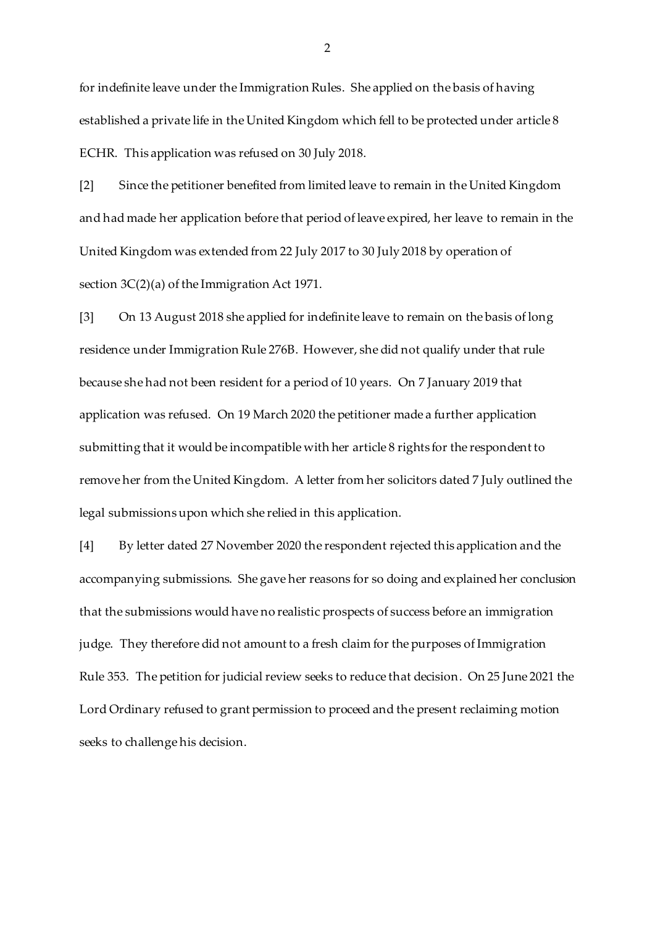for indefinite leave under the Immigration Rules. She applied on the basis of having established a private life in the United Kingdom which fell to be protected under article 8 ECHR. This application was refused on 30 July 2018.

[2] Since the petitioner benefited from limited leave to remain in the United Kingdom and had made her application before that period of leave expired, her leave to remain in the United Kingdom was extended from 22 July 2017 to 30 July 2018 by operation of section 3C(2)(a) of the Immigration Act 1971.

[3] On 13 August 2018 she applied for indefinite leave to remain on the basis of long residence under Immigration Rule 276B. However, she did not qualify under that rule because she had not been resident for a period of 10 years. On 7 January 2019 that application was refused. On 19 March 2020 the petitioner made a further application submitting that it would be incompatible with her article 8 rights for the respondent to remove her from the United Kingdom. A letter from her solicitors dated 7 July outlined the legal submissions upon which she relied in this application.

[4] By letter dated 27 November 2020 the respondent rejected this application and the accompanying submissions. She gave her reasons for so doing and explained her conclusion that the submissions would have no realistic prospects of success before an immigration judge. They therefore did not amount to a fresh claim for the purposes of Immigration Rule 353. The petition for judicial review seeks to reduce that decision. On 25 June 2021 the Lord Ordinary refused to grant permission to proceed and the present reclaiming motion seeks to challenge his decision.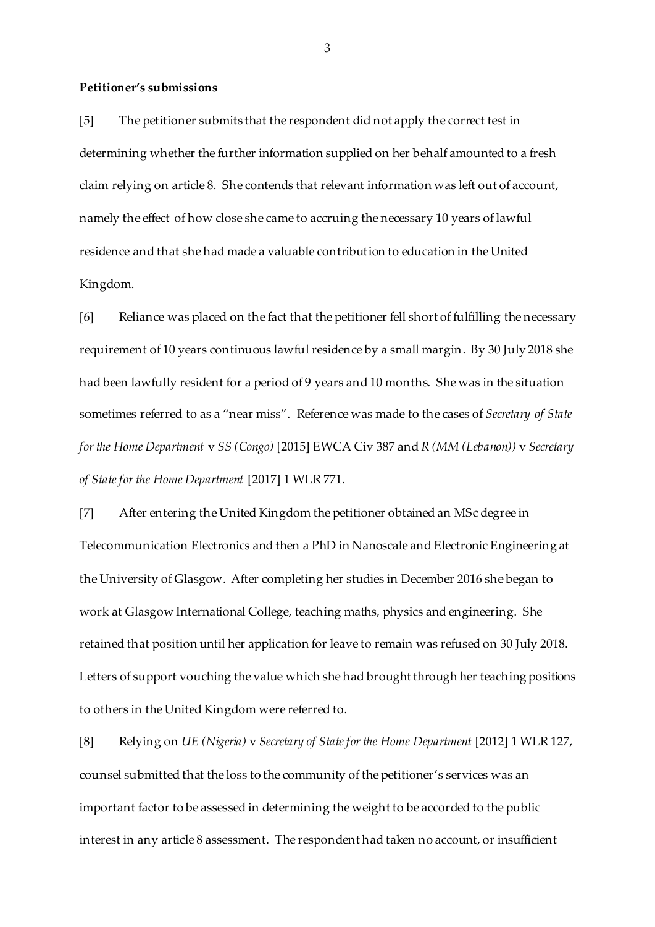#### **Petitioner's submissions**

[5] The petitioner submits that the respondent did not apply the correct test in determining whether the further information supplied on her behalf amounted to a fresh claim relying on article 8. She contends that relevant information was left out of account, namely the effect of how close she came to accruing the necessary 10 years of lawful residence and that she had made a valuable contribution to education in the United Kingdom.

[6] Reliance was placed on the fact that the petitioner fell short of fulfilling the necessary requirement of 10 years continuous lawful residence by a small margin. By 30 July 2018 she had been lawfully resident for a period of 9 years and 10 months. She was in the situation sometimes referred to as a "near miss". Reference was made to the cases of *Secretary of State for the Home Department* v *SS (Congo)* [2015] EWCA Civ 387 and *R (MM (Lebanon))* v *Secretary of State for the Home Department* [2017] 1 WLR 771.

[7] After entering the United Kingdom the petitioner obtained an MSc degree in Telecommunication Electronics and then a PhD in Nanoscale and Electronic Engineering at the University of Glasgow. After completing her studies in December 2016 she began to work at Glasgow International College, teaching maths, physics and engineering. She retained that position until her application for leave to remain was refused on 30 July 2018. Letters of support vouching the value which she had brought through her teaching positions to others in the United Kingdom were referred to.

[8] Relying on *UE (Nigeria)* v *Secretary of State for the Home Department* [2012] 1 WLR 127, counsel submitted that the loss to the community of the petitioner's services was an important factor to be assessed in determining the weight to be accorded to the public interest in any article 8 assessment. The respondent had taken no account, or insufficient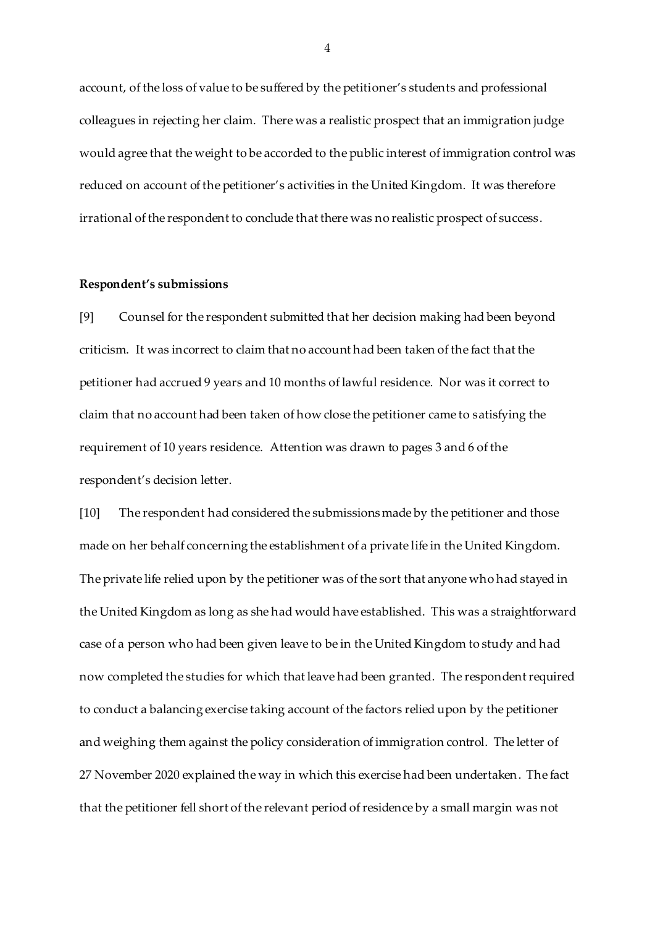account, of the loss of value to be suffered by the petitioner's students and professional colleagues in rejecting her claim. There was a realistic prospect that an immigration judge would agree that the weight to be accorded to the public interest of immigration control was reduced on account of the petitioner's activities in the United Kingdom. It was therefore irrational of the respondent to conclude that there was no realistic prospect of success.

#### **Respondent's submissions**

[9] Counsel for the respondent submitted that her decision making had been beyond criticism. It was incorrect to claim that no account had been taken of the fact that the petitioner had accrued 9 years and 10 months of lawful residence. Nor was it correct to claim that no account had been taken of how close the petitioner came to satisfying the requirement of 10 years residence. Attention was drawn to pages 3 and 6 of the respondent's decision letter.

[10] The respondent had considered the submissions made by the petitioner and those made on her behalf concerning the establishment of a private life in the United Kingdom. The private life relied upon by the petitioner was of the sort that anyone who had stayed in the United Kingdom as long as she had would have established. This was a straightforward case of a person who had been given leave to be in the United Kingdom to study and had now completed the studies for which that leave had been granted. The respondent required to conduct a balancing exercise taking account of the factors relied upon by the petitioner and weighing them against the policy consideration of immigration control. The letter of 27 November 2020 explained the way in which this exercise had been undertaken. The fact that the petitioner fell short of the relevant period of residence by a small margin was not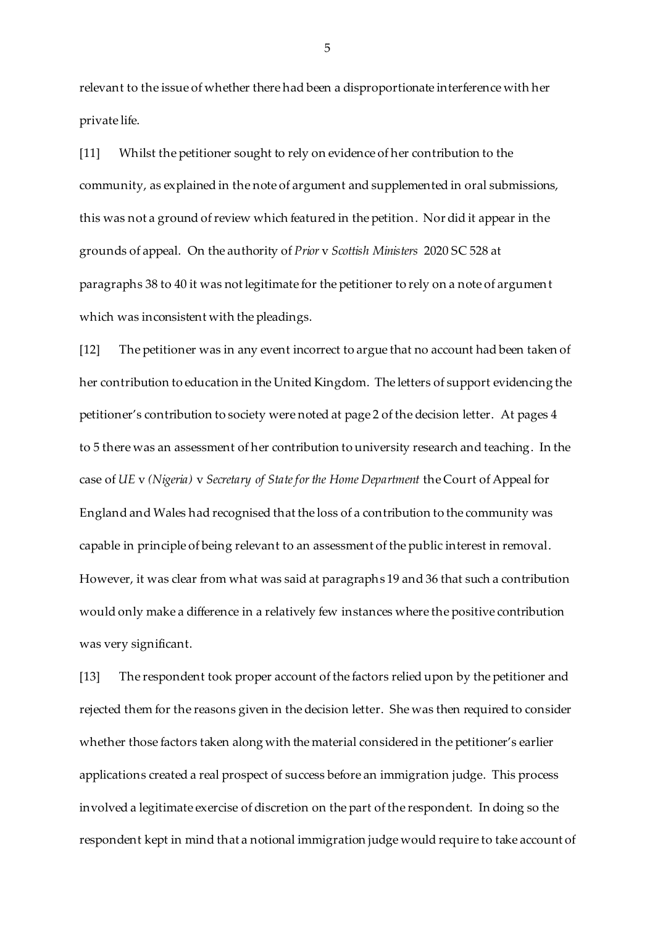relevant to the issue of whether there had been a disproportionate interference with her private life.

[11] Whilst the petitioner sought to rely on evidence of her contribution to the community, as explained in the note of argument and supplemented in oral submissions, this was not a ground of review which featured in the petition. Nor did it appear in the grounds of appeal. On the authority of *Prior* v *Scottish Ministers* 2020 SC 528 at paragraphs 38 to 40 it was not legitimate for the petitioner to rely on a note of argument which was inconsistent with the pleadings.

[12] The petitioner was in any event incorrect to argue that no account had been taken of her contribution to education in the United Kingdom. The letters of support evidencing the petitioner's contribution to society were noted at page 2 of the decision letter. At pages 4 to 5 there was an assessment of her contribution to university research and teaching. In the case of *UE* v *(Nigeria)* v *Secretary of State for the Home Department* the Court of Appeal for England and Wales had recognised that the loss of a contribution to the community was capable in principle of being relevant to an assessment of the public interest in removal. However, it was clear from what was said at paragraphs 19 and 36 that such a contribution would only make a difference in a relatively few instances where the positive contribution was very significant.

[13] The respondent took proper account of the factors relied upon by the petitioner and rejected them for the reasons given in the decision letter. She was then required to consider whether those factors taken along with the material considered in the petitioner's earlier applications created a real prospect of success before an immigration judge. This process involved a legitimate exercise of discretion on the part of the respondent. In doing so the respondent kept in mind that a notional immigration judge would require to take account of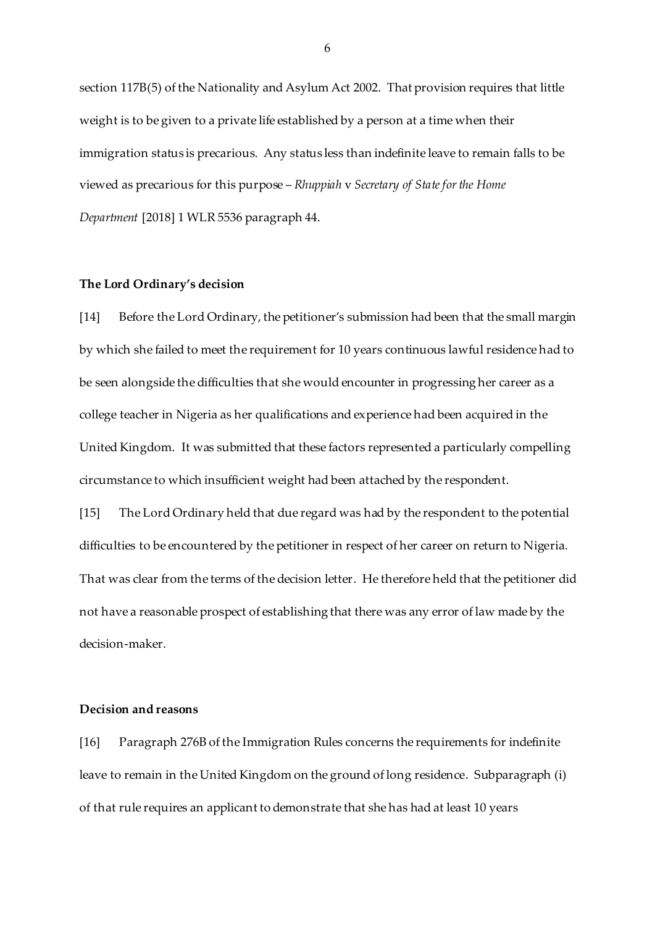section 117B(5) of the Nationality and Asylum Act 2002. That provision requires that little weight is to be given to a private life established by a person at a time when their immigration status is precarious. Any status less than indefinite leave to remain falls to be viewed as precarious for this purpose – *Rhuppiah* v *Secretary of State for the Home Department* [2018] 1 WLR 5536 paragraph 44.

#### **The Lord Ordinary's decision**

[14] Before the Lord Ordinary, the petitioner's submission had been that the small margin by which she failed to meet the requirement for 10 years continuous lawful residence had to be seen alongside the difficulties that she would encounter in progressing her career as a college teacher in Nigeria as her qualifications and experience had been acquired in the United Kingdom. It was submitted that these factors represented a particularly compelling circumstance to which insufficient weight had been attached by the respondent.

[15] The Lord Ordinary held that due regard was had by the respondent to the potential difficulties to be encountered by the petitioner in respect of her career on return to Nigeria. That was clear from the terms of the decision letter. He therefore held that the petitioner did not have a reasonable prospect of establishing that there was any error of law made by the decision-maker.

#### **Decision and reasons**

[16] Paragraph 276B of the Immigration Rules concerns the requirements for indefinite leave to remain in the United Kingdom on the ground of long residence. Subparagraph (i) of that rule requires an applicant to demonstrate that she has had at least 10 years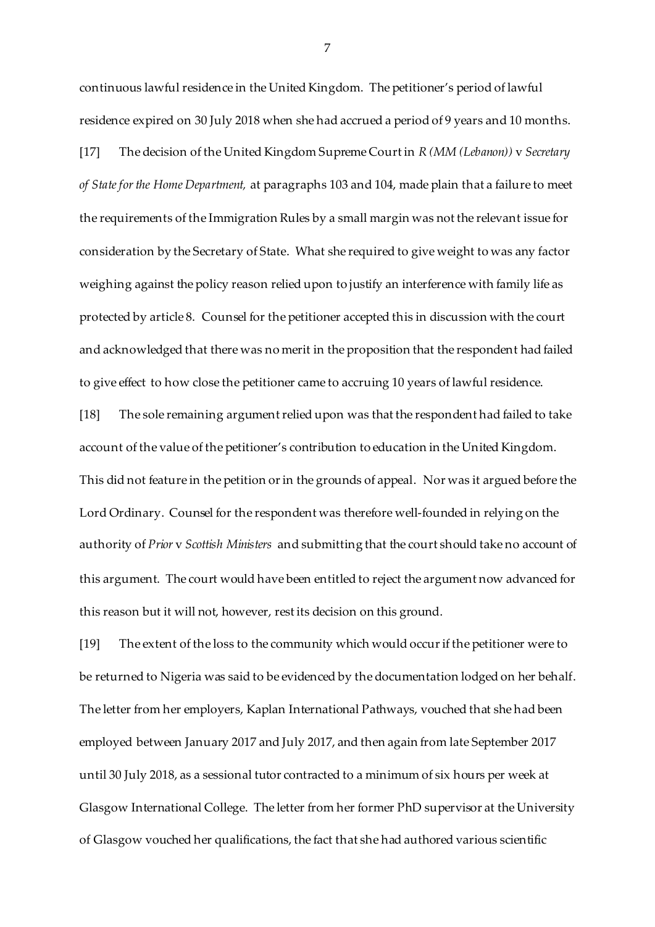continuous lawful residence in the United Kingdom. The petitioner's period of lawful residence expired on 30 July 2018 when she had accrued a period of 9 years and 10 months. [17] The decision of the United Kingdom Supreme Court in *R (MM (Lebanon))* v *Secretary of State for the Home Department,* at paragraphs 103 and 104, made plain that a failure to meet the requirements of the Immigration Rules by a small margin was not the relevant issue for consideration by the Secretary of State. What she required to give weight to was any factor weighing against the policy reason relied upon to justify an interference with family life as protected by article 8. Counsel for the petitioner accepted this in discussion with the court and acknowledged that there was no merit in the proposition that the respondent had failed to give effect to how close the petitioner came to accruing 10 years of lawful residence.

[18] The sole remaining argument relied upon was that the respondent had failed to take account of the value of the petitioner's contribution to education in the United Kingdom. This did not feature in the petition or in the grounds of appeal. Nor was it argued before the Lord Ordinary. Counsel for the respondent was therefore well-founded in relying on the authority of *Prior* v *Scottish Ministers* and submitting that the court should take no account of this argument. The court would have been entitled to reject the argument now advanced for this reason but it will not, however, rest its decision on this ground.

[19] The extent of the loss to the community which would occur if the petitioner were to be returned to Nigeria was said to be evidenced by the documentation lodged on her behalf. The letter from her employers, Kaplan International Pathways, vouched that she had been employed between January 2017 and July 2017, and then again from late September 2017 until 30 July 2018, as a sessional tutor contracted to a minimum of six hours per week at Glasgow International College. The letter from her former PhD supervisor at the University of Glasgow vouched her qualifications, the fact that she had authored various scientific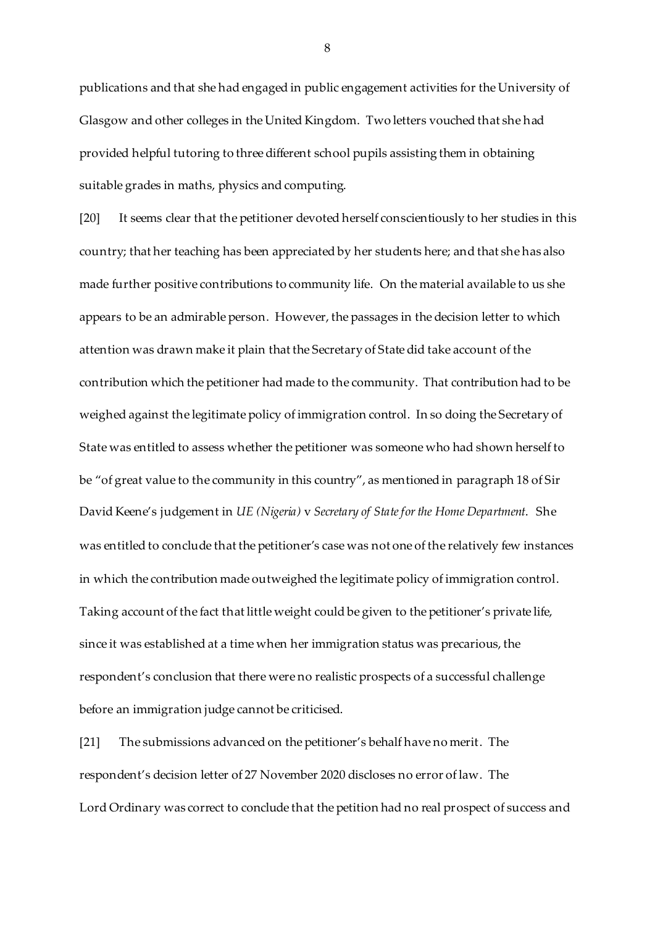publications and that she had engaged in public engagement activities for the University of Glasgow and other colleges in the United Kingdom. Two letters vouched that she had provided helpful tutoring to three different school pupils assisting them in obtaining suitable grades in maths, physics and computing.

[20] It seems clear that the petitioner devoted herself conscientiously to her studies in this country; that her teaching has been appreciated by her students here; and that she has also made further positive contributions to community life. On the material available to us she appears to be an admirable person. However, the passages in the decision letter to which attention was drawn make it plain that the Secretary of State did take account of the contribution which the petitioner had made to the community. That contribution had to be weighed against the legitimate policy of immigration control. In so doing the Secretary of State was entitled to assess whether the petitioner was someone who had shown herself to be "of great value to the community in this country", as mentioned in paragraph 18 of Sir David Keene's judgement in *UE (Nigeria)* v *Secretary of State for the Home Department*. She was entitled to conclude that the petitioner's case was not one of the relatively few instances in which the contribution made outweighed the legitimate policy of immigration control. Taking account of the fact that little weight could be given to the petitioner's private life, since it was established at a time when her immigration status was precarious, the respondent's conclusion that there were no realistic prospects of a successful challenge before an immigration judge cannot be criticised.

[21] The submissions advanced on the petitioner's behalf have no merit. The respondent's decision letter of 27 November 2020 discloses no error of law. The Lord Ordinary was correct to conclude that the petition had no real prospect of success and